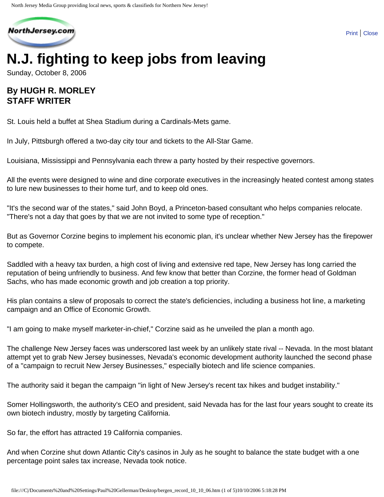

# **N.J. fighting to keep jobs from leaving**

Sunday, October 8, 2006

## **By HUGH R. MORLEY STAFF WRITER**

St. Louis held a buffet at Shea Stadium during a Cardinals-Mets game.

In July, Pittsburgh offered a two-day city tour and tickets to the All-Star Game.

Louisiana, Mississippi and Pennsylvania each threw a party hosted by their respective governors.

All the events were designed to wine and dine corporate executives in the increasingly heated contest among states to lure new businesses to their home turf, and to keep old ones.

"It's the second war of the states," said John Boyd, a Princeton-based consultant who helps companies relocate. "There's not a day that goes by that we are not invited to some type of reception."

But as Governor Corzine begins to implement his economic plan, it's unclear whether New Jersey has the firepower to compete.

Saddled with a heavy tax burden, a high cost of living and extensive red tape, New Jersey has long carried the reputation of being unfriendly to business. And few know that better than Corzine, the former head of Goldman Sachs, who has made economic growth and job creation a top priority.

His plan contains a slew of proposals to correct the state's deficiencies, including a business hot line, a marketing campaign and an Office of Economic Growth.

"I am going to make myself marketer-in-chief," Corzine said as he unveiled the plan a month ago.

The challenge New Jersey faces was underscored last week by an unlikely state rival -- Nevada. In the most blatant attempt yet to grab New Jersey businesses, Nevada's economic development authority launched the second phase of a "campaign to recruit New Jersey Businesses," especially biotech and life science companies.

The authority said it began the campaign "in light of New Jersey's recent tax hikes and budget instability."

Somer Hollingsworth, the authority's CEO and president, said Nevada has for the last four years sought to create its own biotech industry, mostly by targeting California.

So far, the effort has attracted 19 California companies.

And when Corzine shut down Atlantic City's casinos in July as he sought to balance the state budget with a one percentage point sales tax increase, Nevada took notice.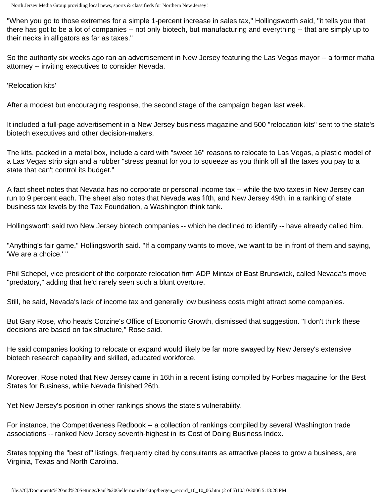"When you go to those extremes for a simple 1-percent increase in sales tax," Hollingsworth said, "it tells you that there has got to be a lot of companies -- not only biotech, but manufacturing and everything -- that are simply up to their necks in alligators as far as taxes."

So the authority six weeks ago ran an advertisement in New Jersey featuring the Las Vegas mayor -- a former mafia attorney -- inviting executives to consider Nevada.

'Relocation kits'

After a modest but encouraging response, the second stage of the campaign began last week.

It included a full-page advertisement in a New Jersey business magazine and 500 "relocation kits" sent to the state's biotech executives and other decision-makers.

The kits, packed in a metal box, include a card with "sweet 16" reasons to relocate to Las Vegas, a plastic model of a Las Vegas strip sign and a rubber "stress peanut for you to squeeze as you think off all the taxes you pay to a state that can't control its budget."

A fact sheet notes that Nevada has no corporate or personal income tax -- while the two taxes in New Jersey can run to 9 percent each. The sheet also notes that Nevada was fifth, and New Jersey 49th, in a ranking of state business tax levels by the Tax Foundation, a Washington think tank.

Hollingsworth said two New Jersey biotech companies -- which he declined to identify -- have already called him.

"Anything's fair game," Hollingsworth said. "If a company wants to move, we want to be in front of them and saying, 'We are a choice.' "

Phil Schepel, vice president of the corporate relocation firm ADP Mintax of East Brunswick, called Nevada's move "predatory," adding that he'd rarely seen such a blunt overture.

Still, he said, Nevada's lack of income tax and generally low business costs might attract some companies.

But Gary Rose, who heads Corzine's Office of Economic Growth, dismissed that suggestion. "I don't think these decisions are based on tax structure," Rose said.

He said companies looking to relocate or expand would likely be far more swayed by New Jersey's extensive biotech research capability and skilled, educated workforce.

Moreover, Rose noted that New Jersey came in 16th in a recent listing compiled by Forbes magazine for the Best States for Business, while Nevada finished 26th.

Yet New Jersey's position in other rankings shows the state's vulnerability.

For instance, the Competitiveness Redbook -- a collection of rankings compiled by several Washington trade associations -- ranked New Jersey seventh-highest in its Cost of Doing Business Index.

States topping the "best of" listings, frequently cited by consultants as attractive places to grow a business, are Virginia, Texas and North Carolina.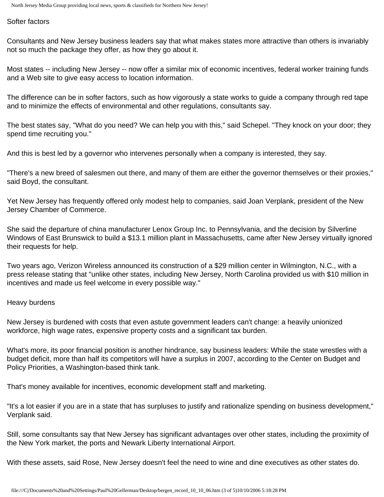Softer factors

Consultants and New Jersey business leaders say that what makes states more attractive than others is invariably not so much the package they offer, as how they go about it.

Most states -- including New Jersey -- now offer a similar mix of economic incentives, federal worker training funds and a Web site to give easy access to location information.

The difference can be in softer factors, such as how vigorously a state works to guide a company through red tape and to minimize the effects of environmental and other regulations, consultants say.

The best states say, "What do you need? We can help you with this," said Schepel. "They knock on your door; they spend time recruiting you."

And this is best led by a governor who intervenes personally when a company is interested, they say.

"There's a new breed of salesmen out there, and many of them are either the governor themselves or their proxies," said Boyd, the consultant.

Yet New Jersey has frequently offered only modest help to companies, said Joan Verplank, president of the New Jersey Chamber of Commerce.

She said the departure of china manufacturer Lenox Group Inc. to Pennsylvania, and the decision by Silverline Windows of East Brunswick to build a \$13.1 million plant in Massachusetts, came after New Jersey virtually ignored their requests for help.

Two years ago, Verizon Wireless announced its construction of a \$29 million center in Wilmington, N.C., with a press release stating that "unlike other states, including New Jersey, North Carolina provided us with \$10 million in incentives and made us feel welcome in every possible way."

#### Heavy burdens

New Jersey is burdened with costs that even astute government leaders can't change: a heavily unionized workforce, high wage rates, expensive property costs and a significant tax burden.

What's more, its poor financial position is another hindrance, say business leaders: While the state wrestles with a budget deficit, more than half its competitors will have a surplus in 2007, according to the Center on Budget and Policy Priorities, a Washington-based think tank.

That's money available for incentives, economic development staff and marketing.

"It's a lot easier if you are in a state that has surpluses to justify and rationalize spending on business development," Verplank said.

Still, some consultants say that New Jersey has significant advantages over other states, including the proximity of the New York market, the ports and Newark Liberty International Airport.

With these assets, said Rose, New Jersey doesn't feel the need to wine and dine executives as other states do.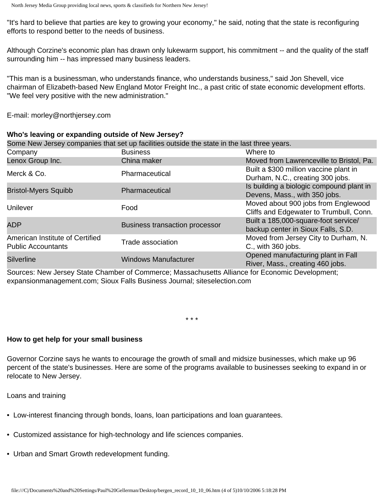"It's hard to believe that parties are key to growing your economy," he said, noting that the state is reconfiguring efforts to respond better to the needs of business.

Although Corzine's economic plan has drawn only lukewarm support, his commitment -- and the quality of the staff surrounding him -- has impressed many business leaders.

"This man is a businessman, who understands finance, who understands business," said Jon Shevell, vice chairman of Elizabeth-based New England Motor Freight Inc., a past critic of state economic development efforts. "We feel very positive with the new administration."

E-mail: morley@northjersey.com

| Who's leaving or expanding outside of New Jersey?                                           |                                       |                                                                                |
|---------------------------------------------------------------------------------------------|---------------------------------------|--------------------------------------------------------------------------------|
| Some New Jersey companies that set up facilities outside the state in the last three years. |                                       |                                                                                |
| Company                                                                                     | <b>Business</b>                       | Where to                                                                       |
| Lenox Group Inc.                                                                            | China maker                           | Moved from Lawrenceville to Bristol, Pa.                                       |
| Merck & Co.                                                                                 | Pharmaceutical                        | Built a \$300 million vaccine plant in<br>Durham, N.C., creating 300 jobs.     |
| <b>Bristol-Myers Squibb</b>                                                                 | Pharmaceutical                        | Is building a biologic compound plant in<br>Devens, Mass., with 350 jobs.      |
| Unilever                                                                                    | Food                                  | Moved about 900 jobs from Englewood<br>Cliffs and Edgewater to Trumbull, Conn. |
| <b>ADP</b>                                                                                  | <b>Business transaction processor</b> | Built a 185,000-square-foot service/<br>backup center in Sioux Falls, S.D.     |
| American Institute of Certified<br><b>Public Accountants</b>                                | Trade association                     | Moved from Jersey City to Durham, N.<br>C., with 360 jobs.                     |
| <b>Silverline</b>                                                                           | <b>Windows Manufacturer</b>           | Opened manufacturing plant in Fall<br>River, Mass., creating 460 jobs.         |

Sources: New Jersey State Chamber of Commerce; Massachusetts Alliance for Economic Development; expansionmanagement.com; Sioux Falls Business Journal; siteselection.com

\* \* \*

#### **How to get help for your small business**

Governor Corzine says he wants to encourage the growth of small and midsize businesses, which make up 96 percent of the state's businesses. Here are some of the programs available to businesses seeking to expand in or relocate to New Jersey.

Loans and training

- Low-interest financing through bonds, loans, loan participations and loan guarantees.
- Customized assistance for high-technology and life sciences companies.
- Urban and Smart Growth redevelopment funding.